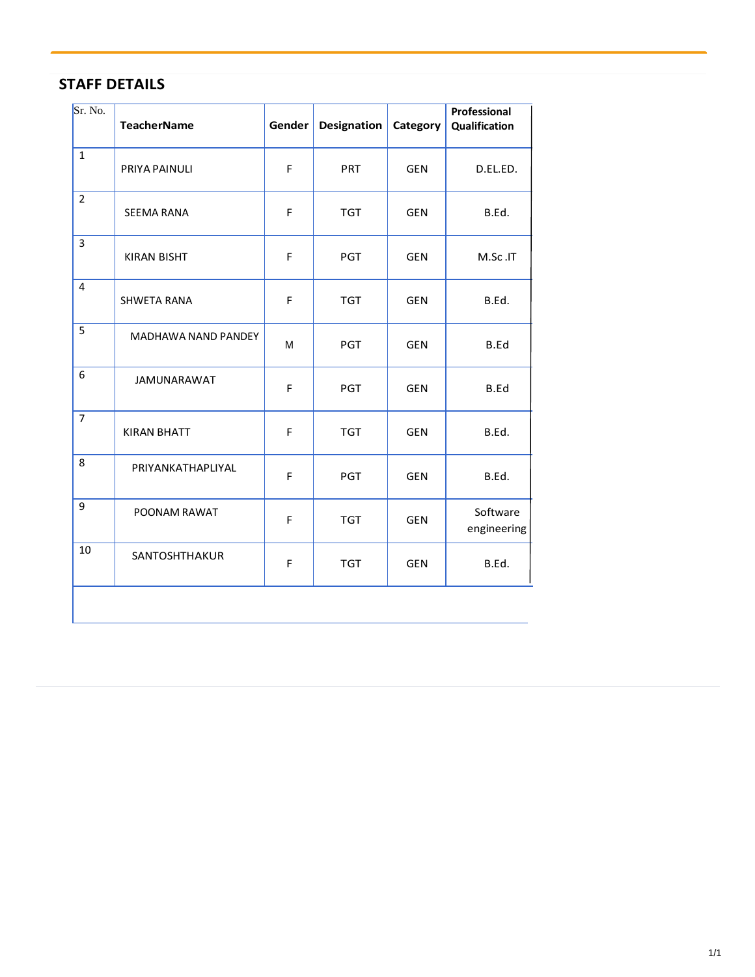| Sr. No.        | <b>TeacherName</b>  | Gender | Designation | Category   | Professional<br>Qualification |
|----------------|---------------------|--------|-------------|------------|-------------------------------|
| $\mathbf{1}$   | PRIYA PAINULI       | F      | <b>PRT</b>  | <b>GEN</b> | D.EL.ED.                      |
| $\overline{2}$ | <b>SEEMA RANA</b>   | F      | <b>TGT</b>  | <b>GEN</b> | B.Ed.                         |
| 3              | <b>KIRAN BISHT</b>  | F      | <b>PGT</b>  | <b>GEN</b> | M.Sc.IT                       |
| $\overline{4}$ | <b>SHWETA RANA</b>  | F      | <b>TGT</b>  | <b>GEN</b> | B.Ed.                         |
| 5              | MADHAWA NAND PANDEY | M      | <b>PGT</b>  | <b>GEN</b> | B.Ed                          |
| 6              | <b>JAMUNARAWAT</b>  | F      | <b>PGT</b>  | <b>GEN</b> | B.Ed                          |
| $\overline{7}$ | <b>KIRAN BHATT</b>  | F      | <b>TGT</b>  | <b>GEN</b> | B.Ed.                         |
| 8              | PRIYANKATHAPLIYAL   | F      | <b>PGT</b>  | <b>GEN</b> | B.Ed.                         |
| 9              | POONAM RAWAT        | F      | <b>TGT</b>  | <b>GEN</b> | Software<br>engineering       |
| 10             | SANTOSHTHAKUR       | F      | <b>TGT</b>  | <b>GEN</b> | B.Ed.                         |
|                |                     |        |             |            |                               |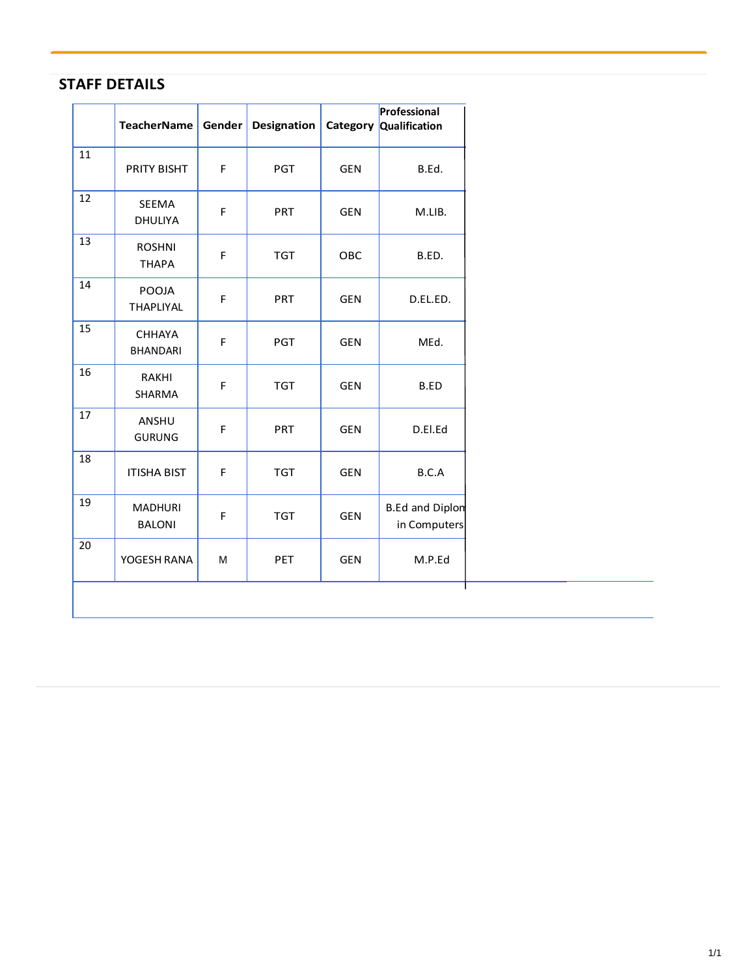|    | <b>TeacherName</b>               | Gender | <b>Designation</b> |            | Professional<br>Category Qualification |
|----|----------------------------------|--------|--------------------|------------|----------------------------------------|
| 11 | PRITY BISHT                      | F      | <b>PGT</b>         | <b>GEN</b> | B.Ed.                                  |
| 12 | <b>SEEMA</b><br>DHULIYA          | F      | PRT                | <b>GEN</b> | M.LIB.                                 |
| 13 | <b>ROSHNI</b><br><b>THAPA</b>    | F      | <b>TGT</b>         | OBC        | B.ED.                                  |
| 14 | POOJA<br><b>THAPLIYAL</b>        | F      | <b>PRT</b>         | <b>GEN</b> | D.EL.ED.                               |
| 15 | <b>CHHAYA</b><br><b>BHANDARI</b> | F      | <b>PGT</b>         | <b>GEN</b> | MEd.                                   |
| 16 | RAKHI<br>SHARMA                  | F      | <b>TGT</b>         | <b>GEN</b> | B.ED                                   |
| 17 | ANSHU<br><b>GURUNG</b>           | F      | PRT                | <b>GEN</b> | D.El.Ed                                |
| 18 | <b>ITISHA BIST</b>               | F      | <b>TGT</b>         | <b>GEN</b> | B.C.A                                  |
| 19 | <b>MADHURI</b><br><b>BALONI</b>  | F      | <b>TGT</b>         | <b>GEN</b> | <b>B.Ed and Diplon</b><br>in Computers |
| 20 | YOGESH RANA                      | M      | PET                | <b>GEN</b> | M.P.Ed                                 |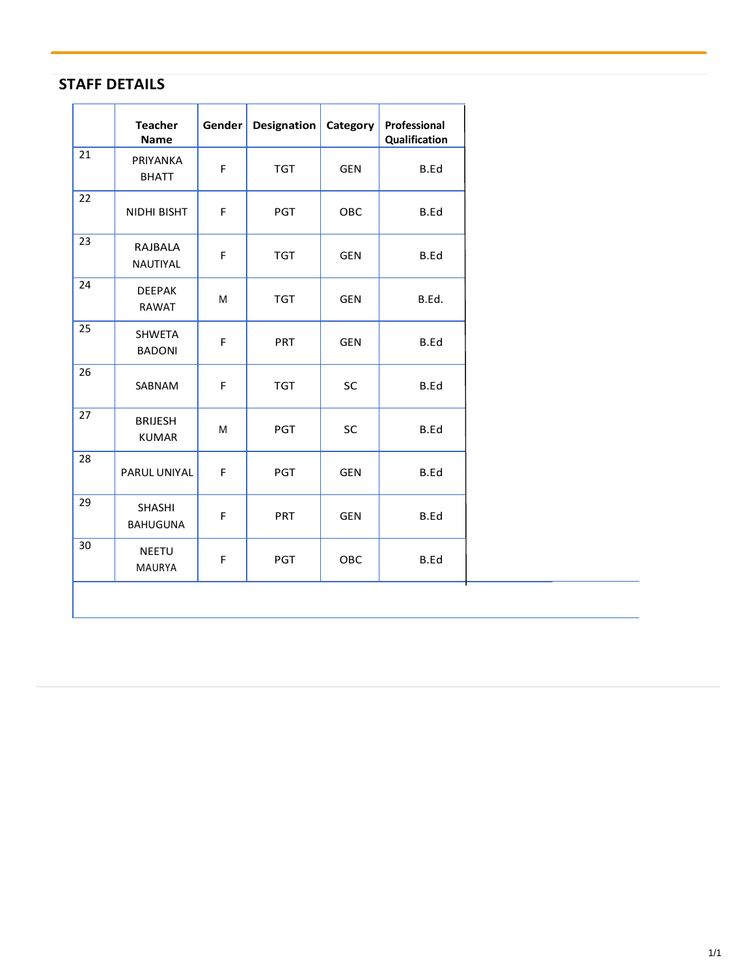|    | <b>Teacher</b><br><b>Name</b>    | Gender | Designation | Category   | Professional<br>Qualification |
|----|----------------------------------|--------|-------------|------------|-------------------------------|
| 21 | PRIYANKA<br><b>BHATT</b>         | F      | <b>TGT</b>  | <b>GEN</b> | B.Ed                          |
| 22 | NIDHI BISHT                      | F      | <b>PGT</b>  | OBC        | B.Ed                          |
| 23 | RAJBALA<br>NAUTIYAL              | F      | <b>TGT</b>  | <b>GEN</b> | B.Ed                          |
| 24 | <b>DEEPAK</b><br>RAWAT           | M      | <b>TGT</b>  | <b>GEN</b> | B.Ed.                         |
| 25 | <b>SHWETA</b><br><b>BADONI</b>   | F      | <b>PRT</b>  | <b>GEN</b> | B.Ed                          |
| 26 | SABNAM                           | F      | <b>TGT</b>  | SC         | B.Ed                          |
| 27 | <b>BRIJESH</b><br><b>KUMAR</b>   | M      | <b>PGT</b>  | SC         | B.Ed                          |
| 28 | PARUL UNIYAL                     | F      | <b>PGT</b>  | <b>GEN</b> | B.Ed                          |
| 29 | <b>SHASHI</b><br><b>BAHUGUNA</b> | F      | <b>PRT</b>  | <b>GEN</b> | B.Ed                          |
| 30 | <b>NEETU</b><br>MAURYA           | F      | <b>PGT</b>  | OBC        | B.Ed                          |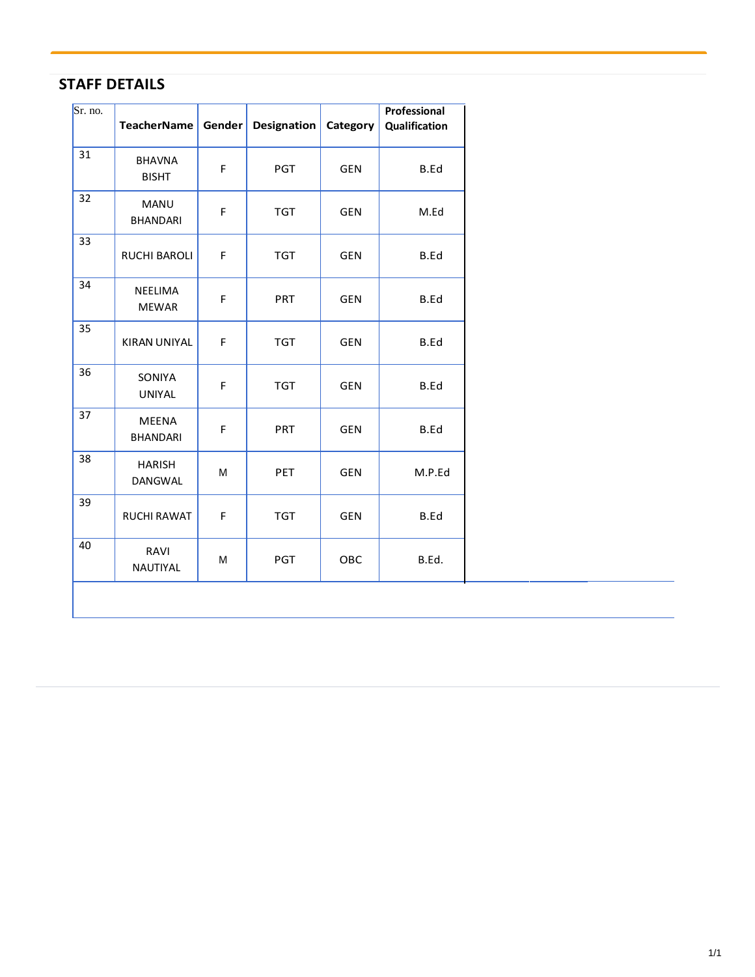| Sr. no. | <b>TeacherName</b>              | Gender | <b>Designation</b> | Category   | Professional<br>Qualification |
|---------|---------------------------------|--------|--------------------|------------|-------------------------------|
| 31      | <b>BHAVNA</b><br><b>BISHT</b>   | F      | PGT                | <b>GEN</b> | B.Ed                          |
| 32      | <b>MANU</b><br><b>BHANDARI</b>  | F      | <b>TGT</b>         | <b>GEN</b> | M.Ed                          |
| 33      | <b>RUCHI BAROLI</b>             | F      | <b>TGT</b>         | <b>GEN</b> | B.Ed                          |
| 34      | <b>NEELIMA</b><br><b>MEWAR</b>  | F      | PRT                | <b>GEN</b> | B.Ed                          |
| 35      | <b>KIRAN UNIYAL</b>             | F      | <b>TGT</b>         | <b>GEN</b> | B.Ed                          |
| 36      | SONIYA<br><b>UNIYAL</b>         | F      | <b>TGT</b>         | <b>GEN</b> | B.Ed                          |
| 37      | <b>MEENA</b><br><b>BHANDARI</b> | F      | PRT                | <b>GEN</b> | B.Ed                          |
| 38      | <b>HARISH</b><br>DANGWAL        | M      | <b>PET</b>         | <b>GEN</b> | M.P.Ed                        |
| 39      | <b>RUCHI RAWAT</b>              | F      | <b>TGT</b>         | <b>GEN</b> | B.Ed                          |
| 40      | RAVI<br>NAUTIYAL                | M      | <b>PGT</b>         | OBC        | B.Ed.                         |